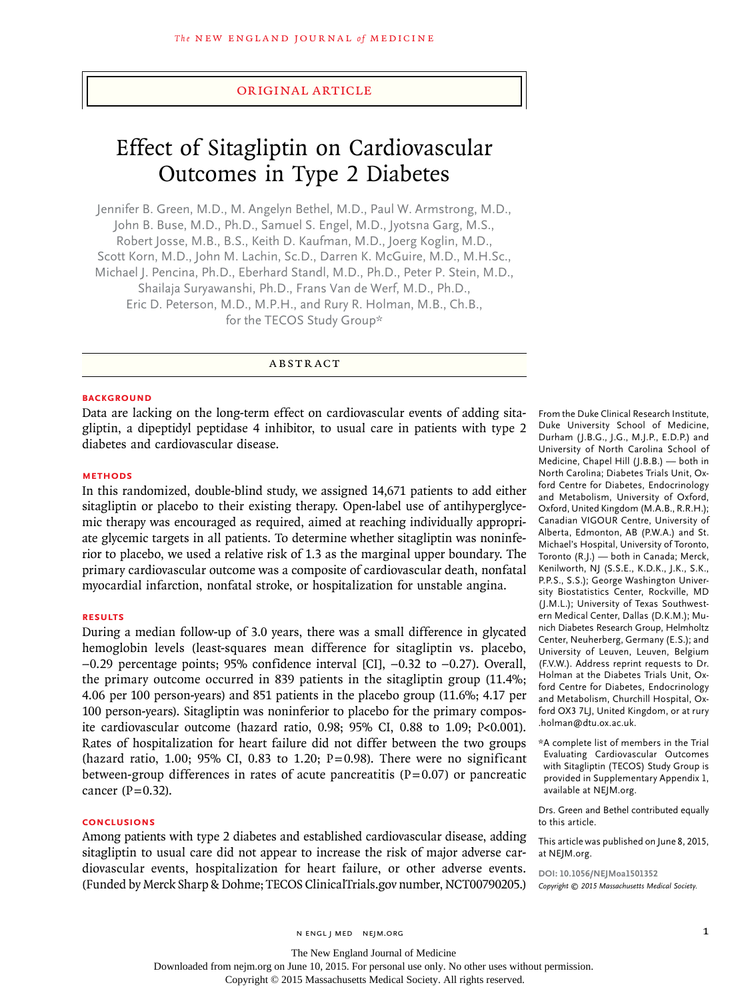### Original Article

# Effect of Sitagliptin on Cardiovascular Outcomes in Type 2 Diabetes

Jennifer B. Green, M.D., M. Angelyn Bethel, M.D., Paul W. Armstrong, M.D., John B. Buse, M.D., Ph.D., Samuel S. Engel, M.D., Jyotsna Garg, M.S., Robert Josse, M.B., B.S., Keith D. Kaufman, M.D., Joerg Koglin, M.D., Scott Korn, M.D., John M. Lachin, Sc.D., Darren K. McGuire, M.D., M.H.Sc., Michael J. Pencina, Ph.D., Eberhard Standl, M.D., Ph.D., Peter P. Stein, M.D., Shailaja Suryawanshi, Ph.D., Frans Van de Werf, M.D., Ph.D., Eric D. Peterson, M.D., M.P.H., and Rury R. Holman, M.B., Ch.B., for the TECOS Study Group\*

# ABSTRACT

#### **BACKGROUND**

Data are lacking on the long-term effect on cardiovascular events of adding sitagliptin, a dipeptidyl peptidase 4 inhibitor, to usual care in patients with type 2 diabetes and cardiovascular disease.

#### **METHODS**

In this randomized, double-blind study, we assigned 14,671 patients to add either sitagliptin or placebo to their existing therapy. Open-label use of antihyperglycemic therapy was encouraged as required, aimed at reaching individually appropriate glycemic targets in all patients. To determine whether sitagliptin was noninferior to placebo, we used a relative risk of 1.3 as the marginal upper boundary. The primary cardiovascular outcome was a composite of cardiovascular death, nonfatal myocardial infarction, nonfatal stroke, or hospitalization for unstable angina.

## **RESULTS**

During a median follow-up of 3.0 years, there was a small difference in glycated hemoglobin levels (least-squares mean difference for sitagliptin vs. placebo, −0.29 percentage points; 95% confidence interval [CI], −0.32 to −0.27). Overall, the primary outcome occurred in 839 patients in the sitagliptin group (11.4%; 4.06 per 100 person-years) and 851 patients in the placebo group (11.6%; 4.17 per 100 person-years). Sitagliptin was noninferior to placebo for the primary composite cardiovascular outcome (hazard ratio, 0.98; 95% CI, 0.88 to 1.09; P<0.001). Rates of hospitalization for heart failure did not differ between the two groups (hazard ratio, 1.00; 95% CI, 0.83 to 1.20; P=0.98). There were no significant between-group differences in rates of acute pancreatitis  $(P=0.07)$  or pancreatic cancer  $(P=0.32)$ .

# **CONCLUSIONS**

Among patients with type 2 diabetes and established cardiovascular disease, adding sitagliptin to usual care did not appear to increase the risk of major adverse cardiovascular events, hospitalization for heart failure, or other adverse events. (Funded by Merck Sharp & Dohme; TECOS ClinicalTrials.gov number, NCT00790205.)

From the Duke Clinical Research Institute, Duke University School of Medicine, Durham (J.B.G., J.G., M.J.P., E.D.P.) and University of North Carolina School of Medicine, Chapel Hill (J.B.B.) — both in North Carolina; Diabetes Trials Unit, Oxford Centre for Diabetes, Endocrinology and Metabolism, University of Oxford, Oxford, United Kingdom (M.A.B., R.R.H.); Canadian VIGOUR Centre, University of Alberta, Edmonton, AB (P.W.A.) and St. Michael's Hospital, University of Toronto, Toronto (R.J.) — both in Canada; Merck, Kenilworth, NJ (S.S.E., K.D.K., J.K., S.K., P.P.S., S.S.); George Washington University Biostatistics Center, Rockville, MD (J.M.L.); University of Texas Southwestern Medical Center, Dallas (D.K.M.); Munich Diabetes Research Group, Helmholtz Center, Neuherberg, Germany (E.S.); and University of Leuven, Leuven, Belgium (F.V.W.). Address reprint requests to Dr. Holman at the Diabetes Trials Unit, Oxford Centre for Diabetes, Endocrinology and Metabolism, Churchill Hospital, Oxford OX3 7LJ, United Kingdom, or at rury .holman@dtu.ox.ac.uk.

\*A complete list of members in the Trial Evaluating Cardiovascular Outcomes with Sitagliptin (TECOS) Study Group is provided in Supplementary Appendix 1, available at NEJM.org.

Drs. Green and Bethel contributed equally to this article.

This article was published on June 8, 2015, at NEJM.org.

**DOI: 10.1056/NEJMoa1501352** *Copyright © 2015 Massachusetts Medical Society.*

n engl j med nejm.org 1

Downloaded from nejm.org on June 10, 2015. For personal use only. No other uses without permission.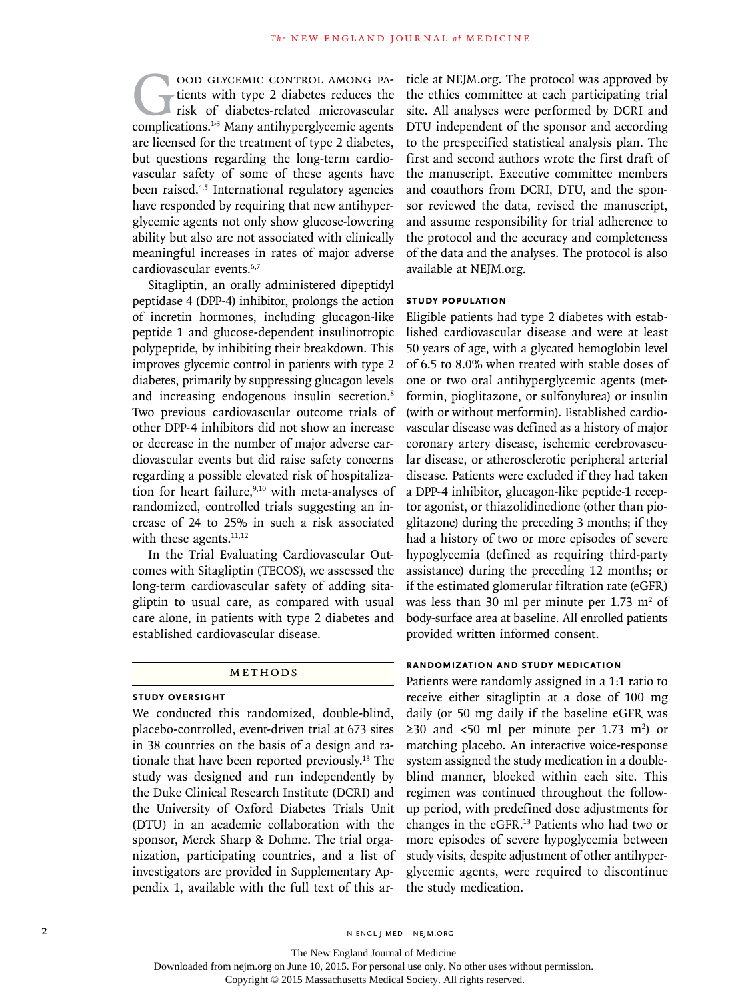**COOD GLYCEMIC CONTROL AMONG PA-**<br>tients with type 2 diabetes reduces the<br>risk of diabetes-related microvascular<br>complications.<sup>1-3</sup> Many antihyperglycemic agents tients with type 2 diabetes reduces the risk of diabetes-related microvascular complications.1-3 Many antihyperglycemic agents are licensed for the treatment of type 2 diabetes, but questions regarding the long-term cardiovascular safety of some of these agents have been raised.<sup>4,5</sup> International regulatory agencies have responded by requiring that new antihyperglycemic agents not only show glucose-lowering ability but also are not associated with clinically meaningful increases in rates of major adverse cardiovascular events.<sup>6,7</sup>

Sitagliptin, an orally administered dipeptidyl peptidase 4 (DPP-4) inhibitor, prolongs the action of incretin hormones, including glucagon-like peptide 1 and glucose-dependent insulinotropic polypeptide, by inhibiting their breakdown. This improves glycemic control in patients with type 2 diabetes, primarily by suppressing glucagon levels and increasing endogenous insulin secretion.<sup>8</sup> Two previous cardiovascular outcome trials of other DPP-4 inhibitors did not show an increase or decrease in the number of major adverse cardiovascular events but did raise safety concerns regarding a possible elevated risk of hospitalization for heart failure,<sup>9,10</sup> with meta-analyses of randomized, controlled trials suggesting an increase of 24 to 25% in such a risk associated with these agents.<sup>11,12</sup>

In the Trial Evaluating Cardiovascular Outcomes with Sitagliptin (TECOS), we assessed the long-term cardiovascular safety of adding sitagliptin to usual care, as compared with usual care alone, in patients with type 2 diabetes and established cardiovascular disease.

### Methods

# **Study Oversight**

We conducted this randomized, double-blind, placebo-controlled, event-driven trial at 673 sites in 38 countries on the basis of a design and rationale that have been reported previously.<sup>13</sup> The study was designed and run independently by the Duke Clinical Research Institute (DCRI) and the University of Oxford Diabetes Trials Unit (DTU) in an academic collaboration with the sponsor, Merck Sharp & Dohme. The trial organization, participating countries, and a list of investigators are provided in Supplementary Appendix 1, available with the full text of this article at NEJM.org. The protocol was approved by the ethics committee at each participating trial site. All analyses were performed by DCRI and DTU independent of the sponsor and according to the prespecified statistical analysis plan. The first and second authors wrote the first draft of the manuscript. Executive committee members and coauthors from DCRI, DTU, and the sponsor reviewed the data, revised the manuscript, and assume responsibility for trial adherence to the protocol and the accuracy and completeness of the data and the analyses. The protocol is also available at NEJM.org.

## **Study Population**

Eligible patients had type 2 diabetes with established cardiovascular disease and were at least 50 years of age, with a glycated hemoglobin level of 6.5 to 8.0% when treated with stable doses of one or two oral antihyperglycemic agents (metformin, pioglitazone, or sulfonylurea) or insulin (with or without metformin). Established cardiovascular disease was defined as a history of major coronary artery disease, ischemic cerebrovascular disease, or atherosclerotic peripheral arterial disease. Patients were excluded if they had taken a DPP-4 inhibitor, glucagon-like peptide-1 receptor agonist, or thiazolidinedione (other than pioglitazone) during the preceding 3 months; if they had a history of two or more episodes of severe hypoglycemia (defined as requiring third-party assistance) during the preceding 12 months; or if the estimated glomerular filtration rate (eGFR) was less than 30 ml per minute per 1.73  $m<sup>2</sup>$  of body-surface area at baseline. All enrolled patients provided written informed consent.

# **Randomization and Study Medication**

Patients were randomly assigned in a 1:1 ratio to receive either sitagliptin at a dose of 100 mg daily (or 50 mg daily if the baseline eGFR was  $\geq$ 30 and <50 ml per minute per 1.73 m<sup>2</sup>) or matching placebo. An interactive voice-response system assigned the study medication in a doubleblind manner, blocked within each site. This regimen was continued throughout the followup period, with predefined dose adjustments for changes in the eGFR.13 Patients who had two or more episodes of severe hypoglycemia between study visits, despite adjustment of other antihyperglycemic agents, were required to discontinue the study medication.

The New England Journal of Medicine Downloaded from nejm.org on June 10, 2015. For personal use only. No other uses without permission.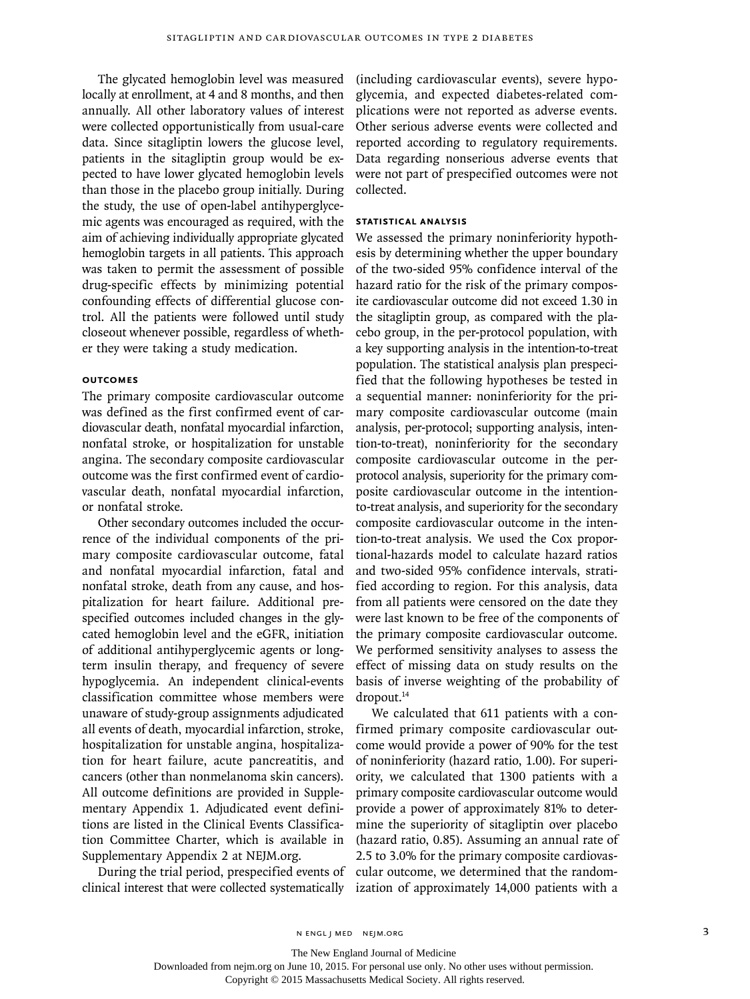The glycated hemoglobin level was measured locally at enrollment, at 4 and 8 months, and then annually. All other laboratory values of interest were collected opportunistically from usual-care data. Since sitagliptin lowers the glucose level, patients in the sitagliptin group would be expected to have lower glycated hemoglobin levels than those in the placebo group initially. During the study, the use of open-label antihyperglycemic agents was encouraged as required, with the aim of achieving individually appropriate glycated hemoglobin targets in all patients. This approach was taken to permit the assessment of possible drug-specific effects by minimizing potential confounding effects of differential glucose control. All the patients were followed until study closeout whenever possible, regardless of whether they were taking a study medication.

# **Outcomes**

The primary composite cardiovascular outcome was defined as the first confirmed event of cardiovascular death, nonfatal myocardial infarction, nonfatal stroke, or hospitalization for unstable angina. The secondary composite cardiovascular outcome was the first confirmed event of cardiovascular death, nonfatal myocardial infarction, or nonfatal stroke.

Other secondary outcomes included the occurrence of the individual components of the primary composite cardiovascular outcome, fatal and nonfatal myocardial infarction, fatal and nonfatal stroke, death from any cause, and hospitalization for heart failure. Additional prespecified outcomes included changes in the glycated hemoglobin level and the eGFR, initiation of additional antihyperglycemic agents or longterm insulin therapy, and frequency of severe hypoglycemia. An independent clinical-events classification committee whose members were unaware of study-group assignments adjudicated all events of death, myocardial infarction, stroke, hospitalization for unstable angina, hospitalization for heart failure, acute pancreatitis, and cancers (other than nonmelanoma skin cancers). All outcome definitions are provided in Supplementary Appendix 1. Adjudicated event definitions are listed in the Clinical Events Classification Committee Charter, which is available in Supplementary Appendix 2 at NEJM.org.

During the trial period, prespecified events of clinical interest that were collected systematically

(including cardiovascular events), severe hypoglycemia, and expected diabetes-related complications were not reported as adverse events. Other serious adverse events were collected and reported according to regulatory requirements. Data regarding nonserious adverse events that were not part of prespecified outcomes were not collected.

# **Statistical Analysis**

We assessed the primary noninferiority hypothesis by determining whether the upper boundary of the two-sided 95% confidence interval of the hazard ratio for the risk of the primary composite cardiovascular outcome did not exceed 1.30 in the sitagliptin group, as compared with the placebo group, in the per-protocol population, with a key supporting analysis in the intention-to-treat population. The statistical analysis plan prespecified that the following hypotheses be tested in a sequential manner: noninferiority for the primary composite cardiovascular outcome (main analysis, per-protocol; supporting analysis, intention-to-treat), noninferiority for the secondary composite cardiovascular outcome in the perprotocol analysis, superiority for the primary composite cardiovascular outcome in the intentionto-treat analysis, and superiority for the secondary composite cardiovascular outcome in the intention-to-treat analysis. We used the Cox proportional-hazards model to calculate hazard ratios and two-sided 95% confidence intervals, stratified according to region. For this analysis, data from all patients were censored on the date they were last known to be free of the components of the primary composite cardiovascular outcome. We performed sensitivity analyses to assess the effect of missing data on study results on the basis of inverse weighting of the probability of dropout.<sup>14</sup>

We calculated that 611 patients with a confirmed primary composite cardiovascular outcome would provide a power of 90% for the test of noninferiority (hazard ratio, 1.00). For superiority, we calculated that 1300 patients with a primary composite cardiovascular outcome would provide a power of approximately 81% to determine the superiority of sitagliptin over placebo (hazard ratio, 0.85). Assuming an annual rate of 2.5 to 3.0% for the primary composite cardiovascular outcome, we determined that the randomization of approximately 14,000 patients with a

The New England Journal of Medicine

Downloaded from nejm.org on June 10, 2015. For personal use only. No other uses without permission.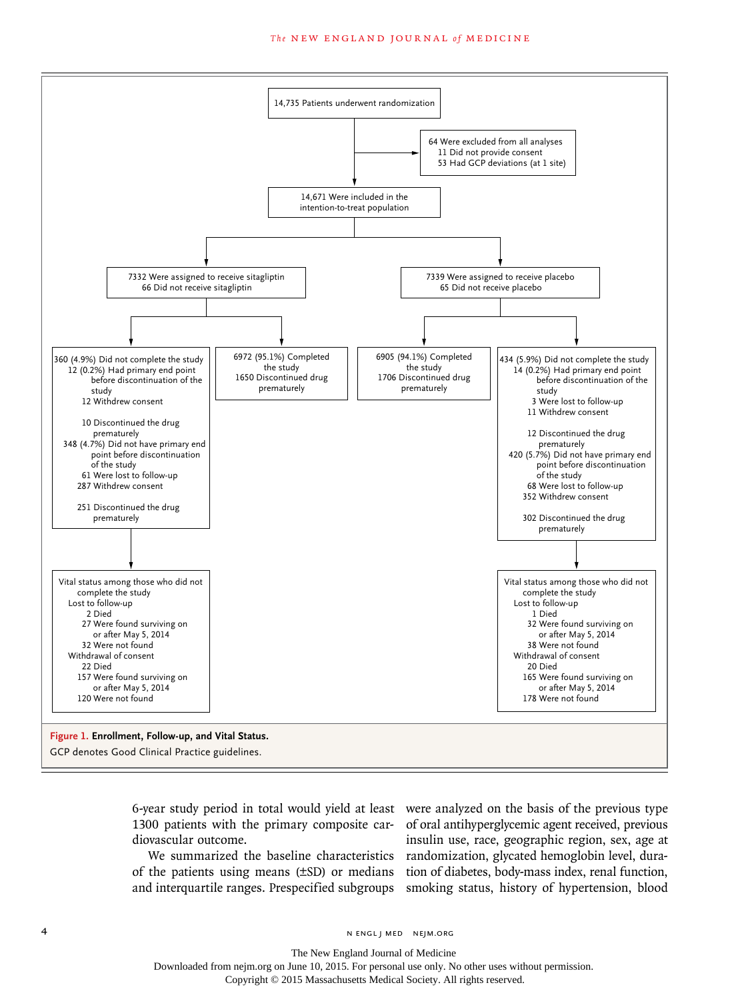#### The NEW ENGLAND JOURNAL of MEDICINE



6-year study period in total would yield at least were analyzed on the basis of the previous type 1300 patients with the primary composite cardiovascular outcome.

and interquartile ranges. Prespecified subgroups smoking status, history of hypertension, blood

We summarized the baseline characteristics randomization, glycated hemoglobin level, duraof the patients using means (±SD) or medians tion of diabetes, body-mass index, renal function, of oral antihyperglycemic agent received, previous insulin use, race, geographic region, sex, age at

The New England Journal of Medicine Downloaded from nejm.org on June 10, 2015. For personal use only. No other uses without permission.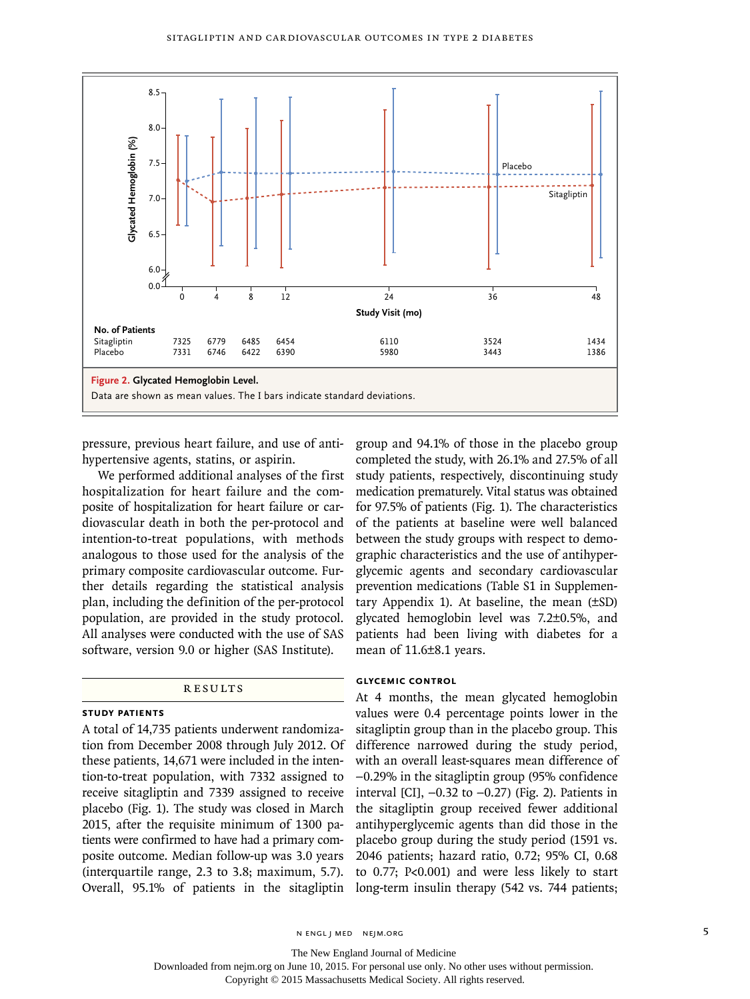

pressure, previous heart failure, and use of antihypertensive agents, statins, or aspirin.

We performed additional analyses of the first hospitalization for heart failure and the composite of hospitalization for heart failure or cardiovascular death in both the per-protocol and intention-to-treat populations, with methods analogous to those used for the analysis of the primary composite cardiovascular outcome. Further details regarding the statistical analysis plan, including the definition of the per-protocol population, are provided in the study protocol. All analyses were conducted with the use of SAS software, version 9.0 or higher (SAS Institute).

| RESULTS |  |
|---------|--|
|---------|--|

# **Study Patients**

A total of 14,735 patients underwent randomization from December 2008 through July 2012. Of these patients, 14,671 were included in the intention-to-treat population, with 7332 assigned to receive sitagliptin and 7339 assigned to receive placebo (Fig. 1). The study was closed in March 2015, after the requisite minimum of 1300 patients were confirmed to have had a primary composite outcome. Median follow-up was 3.0 years (interquartile range, 2.3 to 3.8; maximum, 5.7). Overall, 95.1% of patients in the sitagliptin group and 94.1% of those in the placebo group completed the study, with 26.1% and 27.5% of all study patients, respectively, discontinuing study medication prematurely. Vital status was obtained for 97.5% of patients (Fig. 1). The characteristics of the patients at baseline were well balanced between the study groups with respect to demographic characteristics and the use of antihyperglycemic agents and secondary cardiovascular prevention medications (Table S1 in Supplementary Appendix 1). At baseline, the mean  $(\pm SD)$ glycated hemoglobin level was 7.2±0.5%, and patients had been living with diabetes for a mean of 11.6±8.1 years.

# **Glycemic Control**

At 4 months, the mean glycated hemoglobin values were 0.4 percentage points lower in the sitagliptin group than in the placebo group. This difference narrowed during the study period, with an overall least-squares mean difference of −0.29% in the sitagliptin group (95% confidence interval [CI], −0.32 to −0.27) (Fig. 2). Patients in the sitagliptin group received fewer additional antihyperglycemic agents than did those in the placebo group during the study period (1591 vs. 2046 patients; hazard ratio, 0.72; 95% CI, 0.68 to 0.77; P<0.001) and were less likely to start long-term insulin therapy (542 vs. 744 patients;

The New England Journal of Medicine

Downloaded from nejm.org on June 10, 2015. For personal use only. No other uses without permission.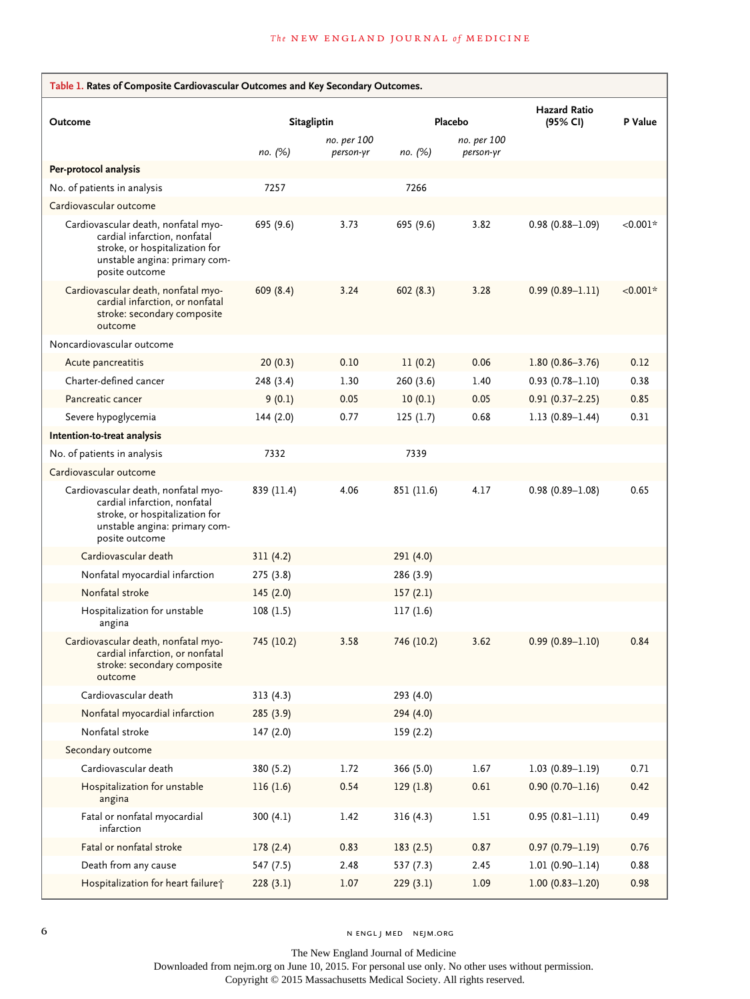| Table 1. Rates of Composite Cardiovascular Outcomes and Key Secondary Outcomes.                                                                          |             |                          |            |                          |                          |            |
|----------------------------------------------------------------------------------------------------------------------------------------------------------|-------------|--------------------------|------------|--------------------------|--------------------------|------------|
| Outcome                                                                                                                                                  | Sitagliptin |                          | Placebo    |                          | Hazard Ratio<br>(95% CI) | P Value    |
|                                                                                                                                                          | no. (%)     | no. per 100<br>person-yr | no. (%)    | no. per 100<br>person-yr |                          |            |
| Per-protocol analysis                                                                                                                                    |             |                          |            |                          |                          |            |
| No. of patients in analysis                                                                                                                              | 7257        |                          | 7266       |                          |                          |            |
| Cardiovascular outcome                                                                                                                                   |             |                          |            |                          |                          |            |
| Cardiovascular death, nonfatal myo-<br>cardial infarction, nonfatal<br>stroke, or hospitalization for<br>unstable angina: primary com-<br>posite outcome | 695 (9.6)   | 3.73                     | 695 (9.6)  | 3.82                     | $0.98(0.88 - 1.09)$      | $< 0.001*$ |
| Cardiovascular death, nonfatal myo-<br>cardial infarction, or nonfatal<br>stroke: secondary composite<br>outcome                                         | 609(8.4)    | 3.24                     | 602(8.3)   | 3.28                     | $0.99(0.89 - 1.11)$      | $< 0.001*$ |
| Noncardiovascular outcome                                                                                                                                |             |                          |            |                          |                          |            |
| Acute pancreatitis                                                                                                                                       | 20(0.3)     | 0.10                     | 11(0.2)    | 0.06                     | $1.80(0.86 - 3.76)$      | 0.12       |
| Charter-defined cancer                                                                                                                                   | 248 (3.4)   | 1.30                     | 260(3.6)   | 1.40                     | $0.93(0.78 - 1.10)$      | 0.38       |
| Pancreatic cancer                                                                                                                                        | 9(0.1)      | 0.05                     | 10(0.1)    | 0.05                     | $0.91(0.37 - 2.25)$      | 0.85       |
| Severe hypoglycemia                                                                                                                                      | 144 (2.0)   | 0.77                     | 125(1.7)   | 0.68                     | $1.13(0.89 - 1.44)$      | 0.31       |
| Intention-to-treat analysis                                                                                                                              |             |                          |            |                          |                          |            |
| No. of patients in analysis                                                                                                                              | 7332        |                          | 7339       |                          |                          |            |
| Cardiovascular outcome                                                                                                                                   |             |                          |            |                          |                          |            |
| Cardiovascular death, nonfatal myo-<br>cardial infarction, nonfatal<br>stroke, or hospitalization for<br>unstable angina: primary com-<br>posite outcome | 839 (11.4)  | 4.06                     | 851 (11.6) | 4.17                     | $0.98(0.89 - 1.08)$      | 0.65       |
| Cardiovascular death                                                                                                                                     | 311(4.2)    |                          | 291 (4.0)  |                          |                          |            |
| Nonfatal myocardial infarction                                                                                                                           | 275 (3.8)   |                          | 286 (3.9)  |                          |                          |            |
| Nonfatal stroke                                                                                                                                          | 145(2.0)    |                          | 157(2.1)   |                          |                          |            |
| Hospitalization for unstable<br>angina                                                                                                                   | 108(1.5)    |                          | 117(1.6)   |                          |                          |            |
| Cardiovascular death, nonfatal myo-<br>cardial infarction, or nonfatal<br>stroke: secondary composite<br>outcome                                         | 745 (10.2)  | 3.58                     | 746 (10.2) | 3.62                     | $0.99(0.89 - 1.10)$      | 0.84       |
| Cardiovascular death                                                                                                                                     | 313(4.3)    |                          | 293 (4.0)  |                          |                          |            |
| Nonfatal myocardial infarction                                                                                                                           | 285(3.9)    |                          | 294 (4.0)  |                          |                          |            |
| Nonfatal stroke                                                                                                                                          | 147(2.0)    |                          | 159(2.2)   |                          |                          |            |
| Secondary outcome                                                                                                                                        |             |                          |            |                          |                          |            |
| Cardiovascular death                                                                                                                                     | 380 (5.2)   | 1.72                     | 366(5.0)   | 1.67                     | $1.03(0.89 - 1.19)$      | 0.71       |
| Hospitalization for unstable<br>angina                                                                                                                   | 116(1.6)    | 0.54                     | 129(1.8)   | 0.61                     | $0.90(0.70 - 1.16)$      | 0.42       |
| Fatal or nonfatal myocardial<br>infarction                                                                                                               | 300 $(4.1)$ | 1.42                     | 316(4.3)   | 1.51                     | $0.95(0.81 - 1.11)$      | 0.49       |
| Fatal or nonfatal stroke                                                                                                                                 | 178(2.4)    | 0.83                     | 183(2.5)   | 0.87                     | $0.97(0.79 - 1.19)$      | 0.76       |
| Death from any cause                                                                                                                                     | 547 (7.5)   | 2.48                     | 537(7.3)   | 2.45                     | $1.01(0.90 - 1.14)$      | 0.88       |
| Hospitalization for heart failuret                                                                                                                       | 228(3.1)    | 1.07                     | 229(3.1)   | 1.09                     | $1.00(0.83 - 1.20)$      | 0.98       |

6 N ENGL J MED NEJM.ORG

The New England Journal of Medicine Downloaded from nejm.org on June 10, 2015. For personal use only. No other uses without permission.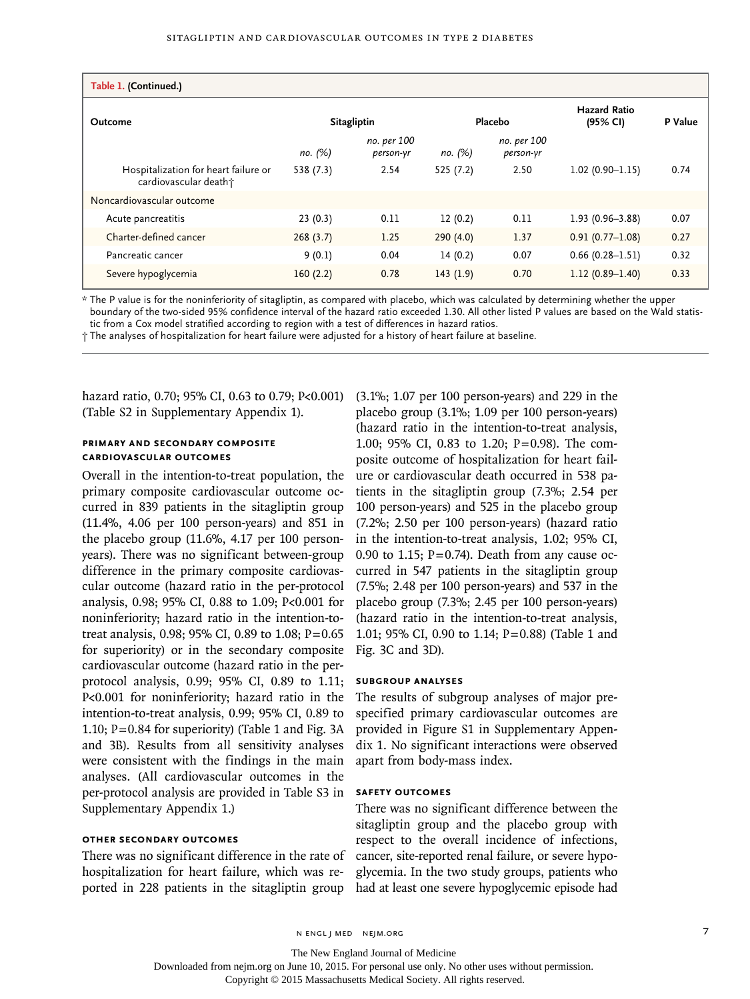| Table 1. (Continued.)                                         |             |                          |           |                          |                                 |         |
|---------------------------------------------------------------|-------------|--------------------------|-----------|--------------------------|---------------------------------|---------|
| Outcome                                                       | Sitagliptin |                          | Placebo   |                          | <b>Hazard Ratio</b><br>(95% CI) | P Value |
|                                                               | no. (%)     | no. per 100<br>person-yr | no. (%)   | no. per 100<br>person-yr |                                 |         |
| Hospitalization for heart failure or<br>cardiovascular death+ | 538 (7.3)   | 2.54                     | 525 (7.2) | 2.50                     | $1.02(0.90 - 1.15)$             | 0.74    |
| Noncardiovascular outcome                                     |             |                          |           |                          |                                 |         |
| Acute pancreatitis                                            | 23(0.3)     | 0.11                     | 12(0.2)   | 0.11                     | $1.93(0.96 - 3.88)$             | 0.07    |
| Charter-defined cancer                                        | 268(3.7)    | 1.25                     | 290(4.0)  | 1.37                     | $0.91(0.77 - 1.08)$             | 0.27    |
| Pancreatic cancer                                             | 9(0.1)      | 0.04                     | 14(0.2)   | 0.07                     | $0.66(0.28 - 1.51)$             | 0.32    |
| Severe hypoglycemia                                           | 160(2.2)    | 0.78                     | 143(1.9)  | 0.70                     | $1.12(0.89 - 1.40)$             | 0.33    |

\* The P value is for the noninferiority of sitagliptin, as compared with placebo, which was calculated by determining whether the upper boundary of the two-sided 95% confidence interval of the hazard ratio exceeded 1.30. All other listed P values are based on the Wald statistic from a Cox model stratified according to region with a test of differences in hazard ratios.

† The analyses of hospitalization for heart failure were adjusted for a history of heart failure at baseline.

hazard ratio, 0.70; 95% CI, 0.63 to 0.79; P<0.001) (3.1%; 1.07 per 100 person-years) and 229 in the (Table S2 in Supplementary Appendix 1).

# **Primary and Secondary Composite Cardiovascular Outcomes**

Overall in the intention-to-treat population, the primary composite cardiovascular outcome occurred in 839 patients in the sitagliptin group (11.4%, 4.06 per 100 person-years) and 851 in the placebo group (11.6%, 4.17 per 100 personyears). There was no significant between-group difference in the primary composite cardiovascular outcome (hazard ratio in the per-protocol analysis, 0.98; 95% CI, 0.88 to 1.09; P<0.001 for noninferiority; hazard ratio in the intention-totreat analysis, 0.98; 95% CI, 0.89 to 1.08;  $P = 0.65$ for superiority) or in the secondary composite cardiovascular outcome (hazard ratio in the perprotocol analysis, 0.99; 95% CI, 0.89 to 1.11; P<0.001 for noninferiority; hazard ratio in the intention-to-treat analysis, 0.99; 95% CI, 0.89 to 1.10;  $P = 0.84$  for superiority) (Table 1 and Fig. 3A and 3B). Results from all sensitivity analyses were consistent with the findings in the main analyses. (All cardiovascular outcomes in the per-protocol analysis are provided in Table S3 in Supplementary Appendix 1.)

# **Other Secondary Outcomes**

There was no significant difference in the rate of hospitalization for heart failure, which was reported in 228 patients in the sitagliptin group

placebo group (3.1%; 1.09 per 100 person-years) (hazard ratio in the intention-to-treat analysis, 1.00; 95% CI, 0.83 to 1.20; P=0.98). The composite outcome of hospitalization for heart failure or cardiovascular death occurred in 538 patients in the sitagliptin group (7.3%; 2.54 per 100 person-years) and 525 in the placebo group (7.2%; 2.50 per 100 person-years) (hazard ratio in the intention-to-treat analysis, 1.02; 95% CI, 0.90 to 1.15;  $P=0.74$ ). Death from any cause occurred in 547 patients in the sitagliptin group (7.5%; 2.48 per 100 person-years) and 537 in the placebo group (7.3%; 2.45 per 100 person-years) (hazard ratio in the intention-to-treat analysis, 1.01; 95% CI, 0.90 to 1.14; P=0.88) (Table 1 and Fig. 3C and 3D).

# **Subgroup Analyses**

The results of subgroup analyses of major prespecified primary cardiovascular outcomes are provided in Figure S1 in Supplementary Appendix 1. No significant interactions were observed apart from body-mass index.

## **Safety Outcomes**

There was no significant difference between the sitagliptin group and the placebo group with respect to the overall incidence of infections, cancer, site-reported renal failure, or severe hypoglycemia. In the two study groups, patients who had at least one severe hypoglycemic episode had

The New England Journal of Medicine

Downloaded from nejm.org on June 10, 2015. For personal use only. No other uses without permission.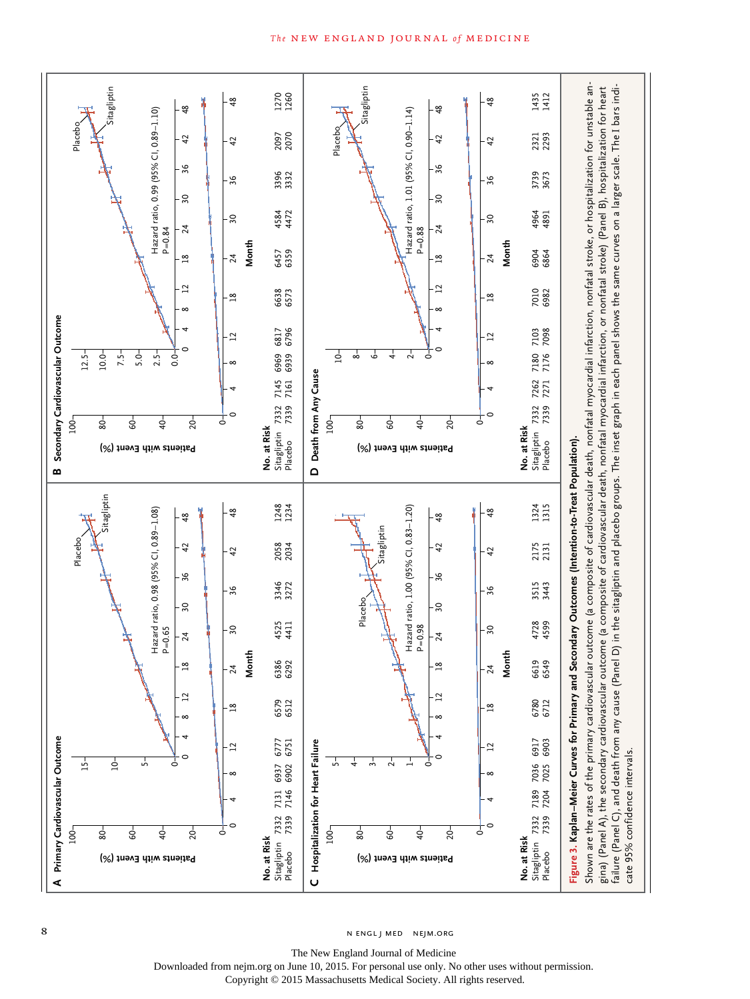

The New England Journal of Medicine Downloaded from nejm.org on June 10, 2015. For personal use only. No other uses without permission.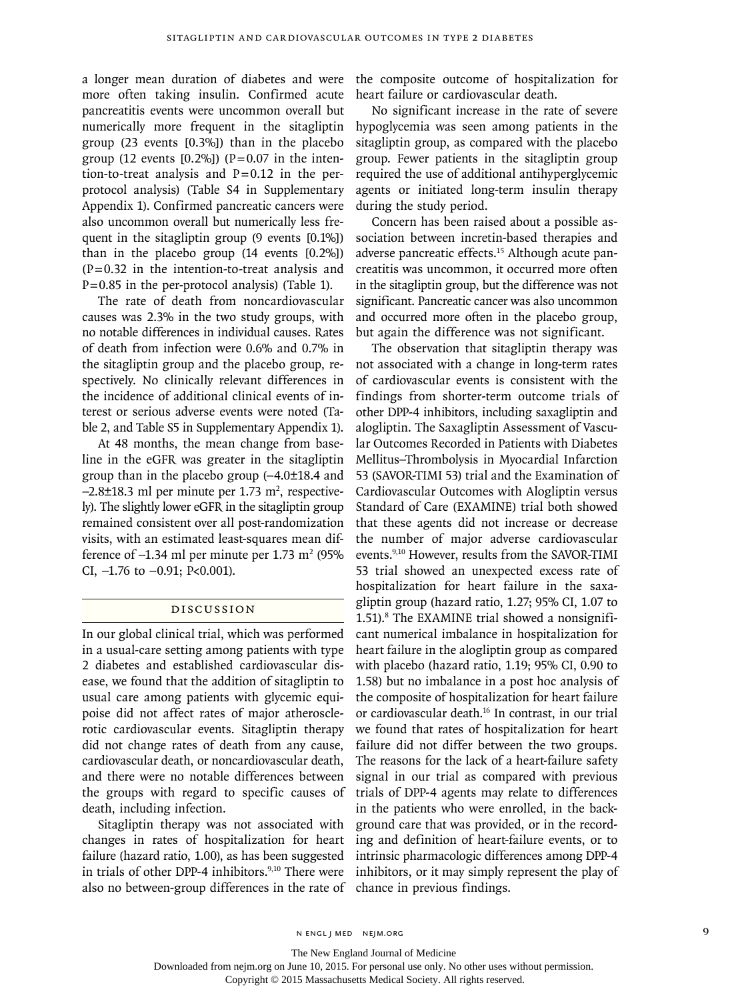a longer mean duration of diabetes and were more often taking insulin. Confirmed acute pancreatitis events were uncommon overall but numerically more frequent in the sitagliptin group (23 events [0.3%]) than in the placebo group (12 events  $[0.2\%]$ ) (P=0.07 in the intention-to-treat analysis and  $P=0.12$  in the perprotocol analysis) (Table S4 in Supplementary Appendix 1). Confirmed pancreatic cancers were also uncommon overall but numerically less frequent in the sitagliptin group (9 events [0.1%]) than in the placebo group (14 events [0.2%])  $(P=0.32$  in the intention-to-treat analysis and P=0.85 in the per-protocol analysis) (Table 1).

The rate of death from noncardiovascular causes was 2.3% in the two study groups, with no notable differences in individual causes. Rates of death from infection were 0.6% and 0.7% in the sitagliptin group and the placebo group, respectively. No clinically relevant differences in the incidence of additional clinical events of interest or serious adverse events were noted (Table 2, and Table S5 in Supplementary Appendix 1).

At 48 months, the mean change from baseline in the eGFR was greater in the sitagliptin group than in the placebo group (−4.0±18.4 and  $-2.8\pm18.3$  ml per minute per 1.73 m<sup>2</sup>, respectively). The slightly lower eGFR in the sitagliptin group remained consistent over all post-randomization visits, with an estimated least-squares mean difference of  $-1.34$  ml per minute per 1.73 m<sup>2</sup> (95% CI, -1.76 to -0.91; P<0.001).

# Discussion

In our global clinical trial, which was performed in a usual-care setting among patients with type 2 diabetes and established cardiovascular disease, we found that the addition of sitagliptin to usual care among patients with glycemic equipoise did not affect rates of major atherosclerotic cardiovascular events. Sitagliptin therapy did not change rates of death from any cause, cardiovascular death, or noncardiovascular death, and there were no notable differences between the groups with regard to specific causes of death, including infection.

Sitagliptin therapy was not associated with changes in rates of hospitalization for heart failure (hazard ratio, 1.00), as has been suggested in trials of other DPP-4 inhibitors.<sup>9,10</sup> There were also no between-group differences in the rate of chance in previous findings.

the composite outcome of hospitalization for heart failure or cardiovascular death.

No significant increase in the rate of severe hypoglycemia was seen among patients in the sitagliptin group, as compared with the placebo group. Fewer patients in the sitagliptin group required the use of additional antihyperglycemic agents or initiated long-term insulin therapy during the study period.

Concern has been raised about a possible association between incretin-based therapies and adverse pancreatic effects.15 Although acute pancreatitis was uncommon, it occurred more often in the sitagliptin group, but the difference was not significant. Pancreatic cancer was also uncommon and occurred more often in the placebo group, but again the difference was not significant.

The observation that sitagliptin therapy was not associated with a change in long-term rates of cardiovascular events is consistent with the findings from shorter-term outcome trials of other DPP-4 inhibitors, including saxagliptin and alogliptin. The Saxagliptin Assessment of Vascular Outcomes Recorded in Patients with Diabetes Mellitus–Thrombolysis in Myocardial Infarction 53 (SAVOR-TIMI 53) trial and the Examination of Cardiovascular Outcomes with Alogliptin versus Standard of Care (EXAMINE) trial both showed that these agents did not increase or decrease the number of major adverse cardiovascular events.9,10 However, results from the SAVOR-TIMI 53 trial showed an unexpected excess rate of hospitalization for heart failure in the saxagliptin group (hazard ratio, 1.27; 95% CI, 1.07 to 1.51).<sup>8</sup> The EXAMINE trial showed a nonsignificant numerical imbalance in hospitalization for heart failure in the alogliptin group as compared with placebo (hazard ratio, 1.19; 95% CI, 0.90 to 1.58) but no imbalance in a post hoc analysis of the composite of hospitalization for heart failure or cardiovascular death.16 In contrast, in our trial we found that rates of hospitalization for heart failure did not differ between the two groups. The reasons for the lack of a heart-failure safety signal in our trial as compared with previous trials of DPP-4 agents may relate to differences in the patients who were enrolled, in the background care that was provided, or in the recording and definition of heart-failure events, or to intrinsic pharmacologic differences among DPP-4 inhibitors, or it may simply represent the play of

n engl j med nejm.org 9

The New England Journal of Medicine

Downloaded from nejm.org on June 10, 2015. For personal use only. No other uses without permission.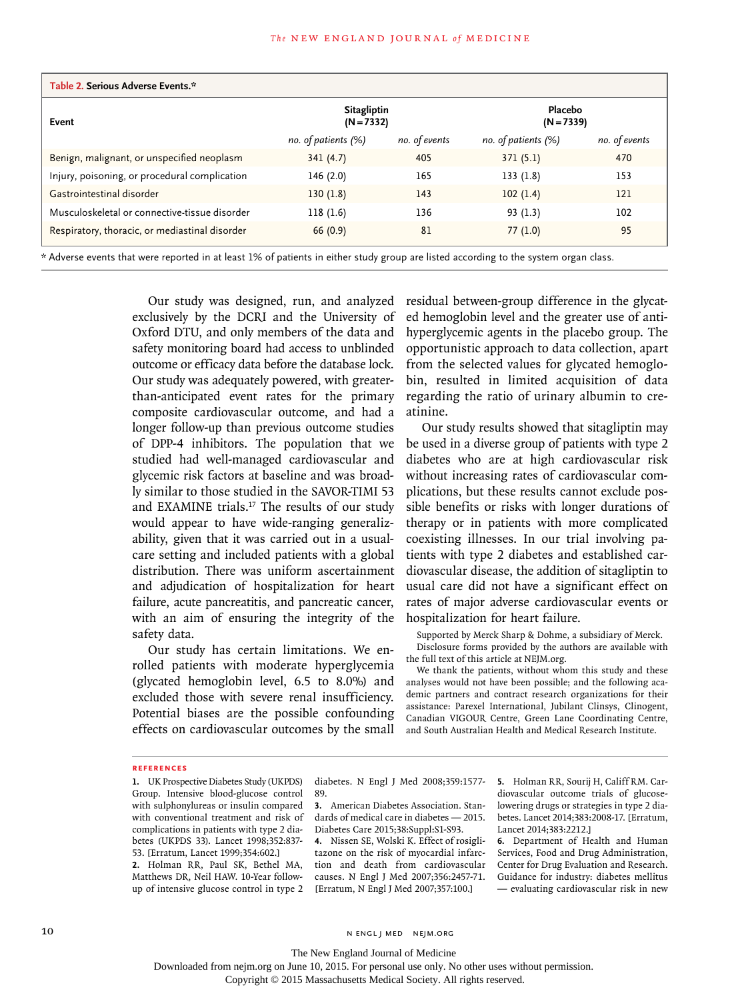| Sitagliptin<br>$(N = 7332)$            |                                                                                                                                      | Placebo<br>$(N = 7339)$ |  |  |
|----------------------------------------|--------------------------------------------------------------------------------------------------------------------------------------|-------------------------|--|--|
| no. of patients $(%)$<br>no. of events | no. of patients $(%)$                                                                                                                | no. of events           |  |  |
| 405                                    | 371(5.1)                                                                                                                             | 470                     |  |  |
| 165                                    | 133(1.8)                                                                                                                             | 153                     |  |  |
| 143                                    | 102(1.4)                                                                                                                             | 121                     |  |  |
| 136                                    | 93(1.3)                                                                                                                              | 102                     |  |  |
| 81                                     | 77(1.0)                                                                                                                              | 95                      |  |  |
|                                        | * Adverse events that were reported in at least 1% of patients in either study group are listed according to the system organ class. |                         |  |  |

Our study was designed, run, and analyzed exclusively by the DCRI and the University of Oxford DTU, and only members of the data and safety monitoring board had access to unblinded outcome or efficacy data before the database lock. Our study was adequately powered, with greaterthan-anticipated event rates for the primary composite cardiovascular outcome, and had a longer follow-up than previous outcome studies of DPP-4 inhibitors. The population that we studied had well-managed cardiovascular and glycemic risk factors at baseline and was broadly similar to those studied in the SAVOR-TIMI 53 and EXAMINE trials.<sup>17</sup> The results of our study would appear to have wide-ranging generalizability, given that it was carried out in a usualcare setting and included patients with a global distribution. There was uniform ascertainment and adjudication of hospitalization for heart failure, acute pancreatitis, and pancreatic cancer, with an aim of ensuring the integrity of the safety data.

Our study has certain limitations. We enrolled patients with moderate hyperglycemia (glycated hemoglobin level, 6.5 to 8.0%) and excluded those with severe renal insufficiency. Potential biases are the possible confounding effects on cardiovascular outcomes by the small residual between-group difference in the glycated hemoglobin level and the greater use of antihyperglycemic agents in the placebo group. The opportunistic approach to data collection, apart from the selected values for glycated hemoglobin, resulted in limited acquisition of data regarding the ratio of urinary albumin to creatinine.

Our study results showed that sitagliptin may be used in a diverse group of patients with type 2 diabetes who are at high cardiovascular risk without increasing rates of cardiovascular complications, but these results cannot exclude possible benefits or risks with longer durations of therapy or in patients with more complicated coexisting illnesses. In our trial involving patients with type 2 diabetes and established cardiovascular disease, the addition of sitagliptin to usual care did not have a significant effect on rates of major adverse cardiovascular events or hospitalization for heart failure.

Supported by Merck Sharp & Dohme, a subsidiary of Merck. Disclosure forms provided by the authors are available with the full text of this article at NEJM.org.

We thank the patients, without whom this study and these analyses would not have been possible; and the following academic partners and contract research organizations for their assistance: Parexel International, Jubilant Clinsys, Clinogent, Canadian VIGOUR Centre, Green Lane Coordinating Centre, and South Australian Health and Medical Research Institute.

#### **References**

**1.** UK Prospective Diabetes Study (UKPDS) Group. Intensive blood-glucose control with sulphonylureas or insulin compared with conventional treatment and risk of complications in patients with type 2 diabetes (UKPDS 33). Lancet 1998;352:837- 53. [Erratum, Lancet 1999;354:602.] **2.** Holman RR, Paul SK, Bethel MA,

Matthews DR, Neil HAW. 10-Year followup of intensive glucose control in type 2 diabetes. N Engl J Med 2008;359:1577- 89.

**3.** American Diabetes Association. Standards of medical care in diabetes — 2015. Diabetes Care 2015;38:Suppl:S1-S93.

**4.** Nissen SE, Wolski K. Effect of rosiglitazone on the risk of myocardial infarction and death from cardiovascular causes. N Engl J Med 2007;356:2457-71. [Erratum, N Engl J Med 2007;357:100.]

**5.** Holman RR, Sourij H, Califf RM. Cardiovascular outcome trials of glucoselowering drugs or strategies in type 2 diabetes. Lancet 2014;383:2008-17. [Erratum, Lancet 2014;383:2212.]

**6.** Department of Health and Human Services, Food and Drug Administration, Center for Drug Evaluation and Research. Guidance for industry: diabetes mellitus — evaluating cardiovascular risk in new

10 N ENGL J MED NEJM.ORG

The New England Journal of Medicine

Downloaded from nejm.org on June 10, 2015. For personal use only. No other uses without permission.